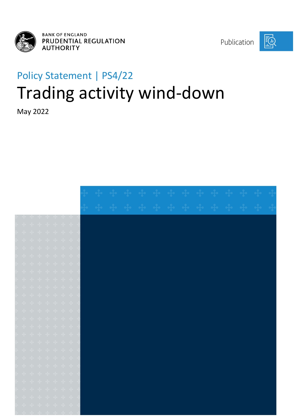

Publication



# Policy Statement | PS4/22 Trading activity wind-down

May 2022

|  | $\vdash$ $\cdot \vdash$ $\cdot \vdash$ $\cdot \vdash$ $\cdot \vdash$ $\cdot \vdash$ $\cdot \vdash$ $\cdot \vdash$                                                                                                                                            |  |  |  |  |  |  |  |  |  |
|--|--------------------------------------------------------------------------------------------------------------------------------------------------------------------------------------------------------------------------------------------------------------|--|--|--|--|--|--|--|--|--|
|  |                                                                                                                                                                                                                                                              |  |  |  |  |  |  |  |  |  |
|  | $\theta$ $\theta$ $\theta$ $\theta$ $\theta$ $\theta$ $\theta$ $\theta$                                                                                                                                                                                      |  |  |  |  |  |  |  |  |  |
|  | + + + + + + +                                                                                                                                                                                                                                                |  |  |  |  |  |  |  |  |  |
|  | $\vdash$ $+$ $+$ $+$ $+$ $+$ $+$                                                                                                                                                                                                                             |  |  |  |  |  |  |  |  |  |
|  | $\mathbf{F}$ of $\mathbf{F}$ of $\mathbf{F}$ of $\mathbf{F}$ of $\mathbf{F}$                                                                                                                                                                                 |  |  |  |  |  |  |  |  |  |
|  | + + + + + + +                                                                                                                                                                                                                                                |  |  |  |  |  |  |  |  |  |
|  | $\vdash$ $+$ $+$ $+$ $+$ $+$ $+$                                                                                                                                                                                                                             |  |  |  |  |  |  |  |  |  |
|  |                                                                                                                                                                                                                                                              |  |  |  |  |  |  |  |  |  |
|  | $\leftarrow$ $\leftarrow$ $\leftarrow$ $\leftarrow$ $\leftarrow$ $\leftarrow$ $\leftarrow$ $\leftarrow$ $\leftarrow$ $\leftarrow$                                                                                                                            |  |  |  |  |  |  |  |  |  |
|  | $\vdash \div + \div + \vdash + \vdash$                                                                                                                                                                                                                       |  |  |  |  |  |  |  |  |  |
|  | $\mathbf{F}$ $\mathbf{F}$ $\mathbf{F}$ $\mathbf{F}$ $\mathbf{F}$ $\mathbf{F}$ $\mathbf{F}$ $\mathbf{F}$ $\mathbf{F}$                                                                                                                                         |  |  |  |  |  |  |  |  |  |
|  |                                                                                                                                                                                                                                                              |  |  |  |  |  |  |  |  |  |
|  | $\mathbf{F}$ of $\mathbf{F}$ of $\mathbf{F}$ of $\mathbf{F}$                                                                                                                                                                                                 |  |  |  |  |  |  |  |  |  |
|  | + + + + + + +                                                                                                                                                                                                                                                |  |  |  |  |  |  |  |  |  |
|  | $\vdash$ $+$ $+$ $+$ $+$ $+$ $+$                                                                                                                                                                                                                             |  |  |  |  |  |  |  |  |  |
|  | <u>ન ન ન ન ન ન </u>                                                                                                                                                                                                                                          |  |  |  |  |  |  |  |  |  |
|  | $\begin{aligned} \mathbf{e} & \quad \mathbf{e} \mathbf{e} & \quad \mathbf{e} \mathbf{e} & \quad \mathbf{e} \mathbf{e} & \quad \mathbf{e} \mathbf{e} & \quad \mathbf{e} \mathbf{e} & \quad \mathbf{e} \mathbf{e} & \quad \mathbf{e} \mathbf{e} \end{aligned}$ |  |  |  |  |  |  |  |  |  |
|  | $\mathbf{F}$ $\mathbf{F}$ $\mathbf{F}$ $\mathbf{F}$ $\mathbf{F}$ $\mathbf{F}$ $\mathbf{F}$ $\mathbf{F}$                                                                                                                                                      |  |  |  |  |  |  |  |  |  |
|  | + + + + + + + +                                                                                                                                                                                                                                              |  |  |  |  |  |  |  |  |  |
|  | + + + + + + +                                                                                                                                                                                                                                                |  |  |  |  |  |  |  |  |  |
|  | နိုး ခန်း ခန်း ခန်း ခန်း ခန်း                                                                                                                                                                                                                                |  |  |  |  |  |  |  |  |  |
|  | $\mathbf{F}$ of $\mathbf{F}$ of $\mathbf{F}$ of $\mathbf{F}$ of $\mathbf{F}$                                                                                                                                                                                 |  |  |  |  |  |  |  |  |  |
|  | $\begin{aligned} \mathbf{b} \quad & \mathbf{a} \mathbf{b} \quad & \mathbf{a} \mathbf{b} \quad & \mathbf{a} \mathbf{b} \quad & \mathbf{a} \mathbf{b} \quad & \mathbf{a} \mathbf{b} \quad & \mathbf{a} \mathbf{b} \end{aligned}$                               |  |  |  |  |  |  |  |  |  |
|  |                                                                                                                                                                                                                                                              |  |  |  |  |  |  |  |  |  |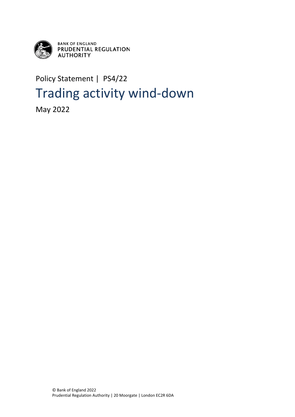

**BANK OF ENGLAND<br>PRUDENTIAL REGULATION AUTHORITY** 

## Policy Statement | PS4/22 Trading activity wind-down

May 2022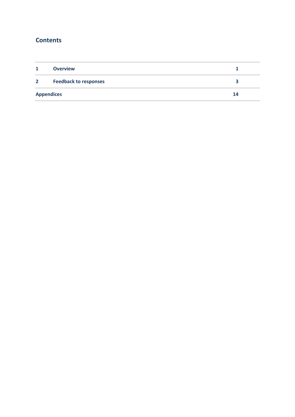## **Contents**

| $\mathbf{1}$   | <b>Overview</b>              |    |
|----------------|------------------------------|----|
| $\overline{2}$ | <b>Feedback to responses</b> |    |
|                | <b>Appendices</b>            | 14 |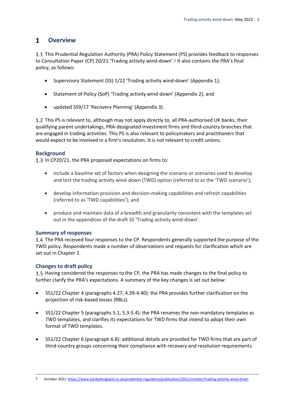#### <span id="page-4-0"></span> $\mathbf 1$ **Overview**

1.1 This Prudential Regulation Authority (PRA) Policy Statement (PS) provides feedback to responses to Consultation Paper (CP) 20/21 'Trading activity wind-down'.1 It also contains the PRA's final policy, as follows:

- Supervisory Statement (SS) 1/22 'Trading activity wind-down' (Appendix 1);
- Statement of Policy (SoP) 'Trading activity wind-down' (Appendix 2); and
- updated SS9/17 'Recovery Planning' (Appendix 3).

1.2 This PS is relevant to, although may not apply directly to, all PRA-authorised UK banks, their qualifying parent undertakings, PRA-designated investment firms and third-country branches that are engaged in trading activities. This PS is also relevant to policymakers and practitioners that would expect to be involved in a firm's resolution. It is not relevant to credit unions.

#### **Background**

1.3 In CP20/21, the PRA proposed expectations on firms to:

- include a baseline set of factors when designing the scenario or scenarios used to develop and test the trading activity wind-down (TWD) option (referred to as the 'TWD scenario');
- develop information provision and decision-making capabilities and refresh capabilities (referred to as 'TWD capabilities'); and
- produce and maintain data of a breadth and granularity consistent with the templates set out in the appendices of the draft SS 'Trading activity wind-down'.

#### **Summary of responses**

1.4 The PRA received four responses to the CP. Respondents generally supported the purpose of the TWD policy. Respondents made a number of observations and requests for clarification which are set out in Chapter 2.

#### **Changes to draft policy**

1.5 Having considered the responses to the CP, the PRA has made changes to the final policy to further clarify the PRA's expectations. A summary of the key changes is set out below:

- SS1/22 Chapter 4 (paragraphs 4.27, 4.39-4.40): the PRA provides further clarification on the projection of risk-based losses (RBLs).
- SS1/22 Chapter 5 (paragraphs 5.1, 5.3-5.4): the PRA renames the non-mandatory templates as TWD templates, and clarifies its expectations for TWD firms that intend to adopt their own format of TWD templates.
- SS1/22 Chapter 6 (paragraph 6.8): additional details are provided for TWD firms that are part of third-country groups concerning their compliance with recovery and resolution requirements.

<sup>1</sup> October 2021: [https://www.bankofengland.co.uk/prudential-regulation/publication/2021/october/trading-activity-wind-down.](https://www.bankofengland.co.uk/prudential-regulation/publication/2021/october/trading-activity-wind-down)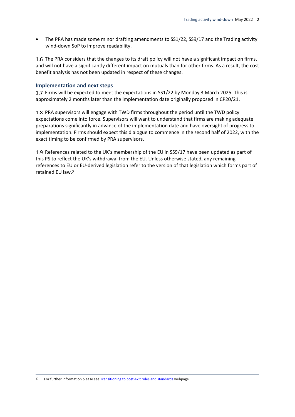• The PRA has made some minor drafting amendments to SS1/22, SS9/17 and the Trading activity wind-down SoP to improve readability.

1.6 The PRA considers that the changes to its draft policy will not have a significant impact on firms, and will not have a significantly different impact on mutuals than for other firms. As a result, the cost benefit analysis has not been updated in respect of these changes.

#### **Implementation and next steps**

1.7 Firms will be expected to meet the expectations in SS1/22 by Monday 3 March 2025. This is approximately 2 months later than the implementation date originally proposed in CP20/21.

1.8 PRA supervisors will engage with TWD firms throughout the period until the TWD policy expectations come into force. Supervisors will want to understand that firms are making adequate preparations significantly in advance of the implementation date and have oversight of progress to implementation. Firms should expect this dialogue to commence in the second half of 2022, with the exact timing to be confirmed by PRA supervisors.

1.9 References related to the UK's membership of the EU in SS9/17 have been updated as part of this PS to reflect the UK's withdrawal from the EU. Unless otherwise stated, any remaining references to EU or EU-derived legislation refer to the version of that legislation which forms part of retained EU law.2

<sup>2</sup> For further information please se[e Transitioning to post-exit rules and standards](https://www.bankofengland.co.uk/eu-withdrawal/transitioning-to-post-exit-rules-and-standards) webpage.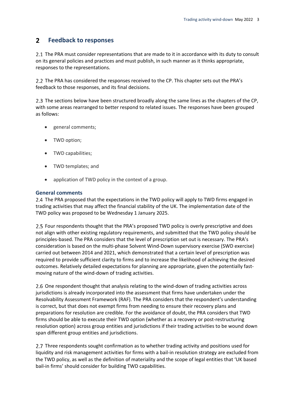#### <span id="page-6-0"></span> $2<sup>1</sup>$ **Feedback to responses**

2.1 The PRA must consider representations that are made to it in accordance with its duty to consult on its general policies and practices and must publish, in such manner as it thinks appropriate, responses to the representations.

2.2 The PRA has considered the responses received to the CP. This chapter sets out the PRA's feedback to those responses, and its final decisions.

2.3 The sections below have been structured broadly along the same lines as the chapters of the CP, with some areas rearranged to better respond to related issues. The responses have been grouped as follows:

- general comments;
- TWD option;
- TWD capabilities;
- TWD templates; and
- application of TWD policy in the context of a group.

#### **General comments**

2.4 The PRA proposed that the expectations in the TWD policy will apply to TWD firms engaged in trading activities that may affect the financial stability of the UK. The implementation date of the TWD policy was proposed to be Wednesday 1 January 2025.

Four respondents thought that the PRA's proposed TWD policy is overly prescriptive and does not align with other existing regulatory requirements, and submitted that the TWD policy should be principles-based. The PRA considers that the level of prescription set out is necessary. The PRA's consideration is based on the multi-phase Solvent Wind-Down supervisory exercise (SWD exercise) carried out between 2014 and 2021, which demonstrated that a certain level of prescription was required to provide sufficient clarity to firms and to increase the likelihood of achieving the desired outcomes. Relatively detailed expectations for planning are appropriate, given the potentially fastmoving nature of the wind-down of trading activities.

2.6 One respondent thought that analysis relating to the wind-down of trading activities across jurisdictions is already incorporated into the assessment that firms have undertaken under the Resolvability Assessment Framework (RAF). The PRA considers that the respondent's understanding is correct, but that does not exempt firms from needing to ensure their recovery plans and preparations for resolution are credible. For the avoidance of doubt, the PRA considers that TWD firms should be able to execute their TWD option (whether as a recovery or post-restructuring resolution option) across group entities and jurisdictions if their trading activities to be wound down span different group entities and jurisdictions.

2.7 Three respondents sought confirmation as to whether trading activity and positions used for liquidity and risk management activities for firms with a bail-in resolution strategy are excluded from the TWD policy, as well as the definition of materiality and the scope of legal entities that 'UK based bail-in firms' should consider for building TWD capabilities.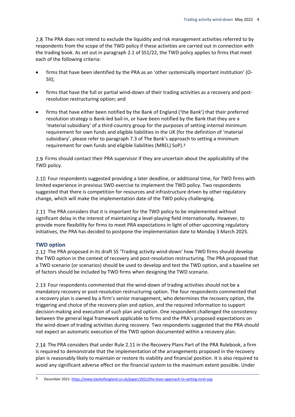2.8 The PRA does not intend to exclude the liquidity and risk management activities referred to by respondents from the scope of the TWD policy if these activities are carried out in connection with the trading book. As set out in paragraph 2.1 of SS1/22, the TWD policy applies to firms that meet each of the following criteria:

- firms that have been identified by the PRA as an 'other systemically important institution' (O-SII);
- firms that have the full or partial wind-down of their trading activities as a recovery and postresolution restructuring option; and
- firms that have either been notified by the Bank of England ('the Bank') that their preferred resolution strategy is Bank-led bail-in, or have been notified by the Bank that they are a 'material subsidiary' of a third-country group for the purposes of setting internal minimum requirement for own funds and eligible liabilities in the UK (for the definition of 'material subsidiary', please refer to paragraph 7.3 of The Bank's approach to setting a minimum requirement for own funds and eligible liabilities (MREL) SoP).3

2.9 Firms should contact their PRA supervisor if they are uncertain about the applicability of the TWD policy.

2.10 Four respondents suggested providing a later deadline, or additional time, for TWD firms with limited experience in previous SWD exercise to implement the TWD policy. Two respondents suggested that there is competition for resources and infrastructure driven by other regulatory change, which will make the implementation date of the TWD policy challenging.

2.11 The PRA considers that it is important for the TWD policy to be implemented without significant delay in the interest of maintaining a level-playing field internationally. However, to provide more flexibility for firms to meet PRA expectations in light of other upcoming regulatory initiatives, the PRA has decided to postpone the implementation date to Monday 3 March 2025.

#### **TWD option**

2.12 The PRA proposed in its draft SS 'Trading activity wind-down' how TWD firms should develop the TWD option in the context of recovery and post-resolution restructuring. The PRA proposed that a TWD scenario (or scenarios) should be used to develop and test the TWD option, and a baseline set of factors should be included by TWD firms when designing the TWD scenario.

2.13 Four respondents commented that the wind-down of trading activities should not be a mandatory recovery or post-resolution restructuring option. The four respondents commented that a recovery plan is owned by a firm's senior management, who determines the recovery option, the triggering and choice of the recovery plan and option, and the required information to support decision-making and execution of such plan and option. One respondent challenged the consistency between the general legal framework applicable to firms and the PRA's proposed expectations on the wind-down of trading activities during recovery. Two respondents suggested that the PRA should not expect an automatic execution of the TWD option documented within a recovery plan.

2.14 The PRA considers that under Rule 2.11 in the Recovery Plans Part of the PRA Rulebook, a firm is required to demonstrate that the implementation of the arrangements proposed in the recovery plan is reasonably likely to maintain or restore its viability and financial position. It is also required to avoid any significant adverse effect on the financial system to the maximum extent possible. Under

<sup>3</sup> December 2021: [https://www.bankofengland.co.uk/paper/2021/the-boes-approach-to-setting-mrel-sop.](https://www.bankofengland.co.uk/paper/2021/the-boes-approach-to-setting-mrel-sop)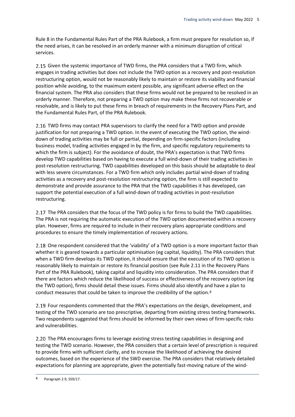Rule 8 in the Fundamental Rules Part of the PRA Rulebook, a firm must prepare for resolution so, if the need arises, it can be resolved in an orderly manner with a minimum disruption of critical services.

2.15 Given the systemic importance of TWD firms, the PRA considers that a TWD firm, which engages in trading activities but does not include the TWD option as a recovery and post-resolution restructuring option, would not be reasonably likely to maintain or restore its viability and financial position while avoiding, to the maximum extent possible, any significant adverse effect on the financial system. The PRA also considers that these firms would not be prepared to be resolved in an orderly manner. Therefore, not preparing a TWD option may make these firms not recoverable or resolvable, and is likely to put these firms in breach of requirements in the Recovery Plans Part, and the Fundamental Rules Part, of the PRA Rulebook.

2.16 TWD firms may contact PRA supervisors to clarify the need for a TWD option and provide justification for not preparing a TWD option. In the event of executing the TWD option, the winddown of trading activities may be full or partial, depending on firm-specific factors (including business model, trading activities engaged in by the firm, and specific regulatory requirements to which the firm is subject). For the avoidance of doubt, the PRA's expectation is that TWD firms develop TWD capabilities based on having to execute a full wind-down of their trading activities in post-resolution restructuring. TWD capabilities developed on this basis should be adaptable to deal with less severe circumstances. For a TWD firm which only includes partial wind-down of trading activities as a recovery and post-resolution restructuring option, the firm is still expected to demonstrate and provide assurance to the PRA that the TWD capabilities it has developed, can support the potential execution of a full wind-down of trading activities in post-resolution restructuring.

2.17 The PRA considers that the focus of the TWD policy is for firms to build the TWD capabilities. The PRA is not requiring the automatic execution of the TWD option documented within a recovery plan. However, firms are required to include in their recovery plans appropriate conditions and procedures to ensure the timely implementation of recovery actions.

2.18 One respondent considered that the 'viability' of a TWD option is a more important factor than whether it is geared towards a particular optimisation (eg capital, liquidity). The PRA considers that when a TWD firm develops its TWD option, it should ensure that the execution of its TWD option is reasonably likely to maintain or restore its financial position (see Rule 2.11 in the Recovery Plans Part of the PRA Rulebook), taking capital and liquidity into consideration. The PRA considers that if there are factors which reduce the likelihood of success or effectiveness of the recovery option (eg the TWD option), firms should detail these issues. Firms should also identify and have a plan to conduct measures that could be taken to improve the credibility of the option.4

2.19 Four respondents commented that the PRA's expectations on the design, development, and testing of the TWD scenario are too prescriptive, departing from existing stress testing frameworks. Two respondents suggested that firms should be informed by their own views of firm-specific risks and vulnerabilities.

2.20 The PRA encourages firms to leverage existing stress testing capabilities in designing and testing the TWD scenario. However, the PRA considers that a certain level of prescription is required to provide firms with sufficient clarity, and to increase the likelihood of achieving the desired outcomes, based on the experience of the SWD exercise. The PRA considers that relatively detailed expectations for planning are appropriate, given the potentially fast-moving nature of the wind-

<sup>4</sup> Paragraph 2.9, SS9/17.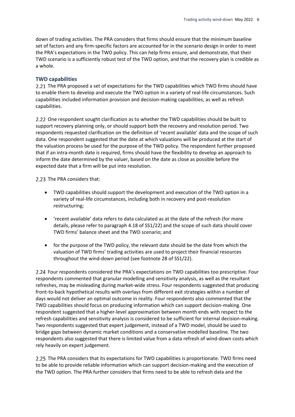down of trading activities. The PRA considers that firms should ensure that the minimum baseline set of factors and any firm-specific factors are accounted for in the scenario design in order to meet the PRA's expectations in the TWD policy. This can help firms ensure, and demonstrate, that their TWD scenario is a sufficiently robust test of the TWD option, and that the recovery plan is credible as a whole.

#### **TWD capabilities**

2.21 The PRA proposed a set of expectations for the TWD capabilities which TWD firms should have to enable them to develop and execute the TWD option in a variety of real-life circumstances. Such capabilities included information provision and decision-making capabilities, as well as refresh capabilities.

2.22 One respondent sought clarification as to whether the TWD capabilities should be built to support recovery planning only, or should support both the recovery and resolution period. Two respondents requested clarification on the definition of 'recent available' data and the scope of such data. One respondent suggested that the date at which valuations will be produced at the start of the valuation process be used for the purpose of the TWD policy. The respondent further proposed that if an intra-month date is required, firms should have the flexibility to develop an approach to inform the date determined by the valuer, based on the date as close as possible before the expected date that a firm will be put into resolution.

2.23 The PRA considers that:

- TWD capabilities should support the development and execution of the TWD option in a variety of real-life circumstances, including both in recovery and post-resolution restructuring;
- 'recent available' data refers to data calculated as at the date of the refresh (for more details, please refer to paragraph 4.18 of SS1/22) and the scope of such data should cover TWD firms' balance sheet and the TWD scenario; and
- for the purpose of the TWD policy, the relevant date should be the date from which the valuation of TWD firms' trading activities are used to project their financial resources throughout the wind-down period (see footnote 28 of SS1/22).

Four respondents considered the PRA's expectations on TWD capabilities too prescriptive. Four respondents commented that granular modelling and sensitivity analysis, as well as the resultant refreshes, may be misleading during market-wide stress. Four respondents suggested that producing front-to-back hypothetical results with overlays from different exit strategies within a number of days would not deliver an optimal outcome in reality. Four respondents also commented that the TWD capabilities should focus on producing information which can support decision-making. One respondent suggested that a higher-level approximation between month ends with respect to the refresh capabilities and sensitivity analysis is considered to be sufficient for internal decision-making. Two respondents suggested that expert judgement, instead of a TWD model, should be used to bridge gaps between dynamic market conditions and a conservative modelled baseline. The two respondents also suggested that there is limited value from a data refresh of wind-down costs which rely heavily on expert judgement.

2.25 The PRA considers that its expectations for TWD capabilities is proportionate. TWD firms need to be able to provide reliable information which can support decision-making and the execution of the TWD option. The PRA further considers that firms need to be able to refresh data and the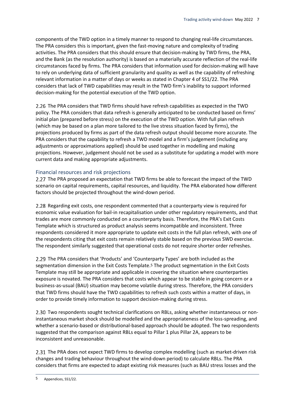components of the TWD option in a timely manner to respond to changing real-life circumstances. The PRA considers this is important, given the fast-moving nature and complexity of trading activities. The PRA considers that this should ensure that decision-making by TWD firms, the PRA, and the Bank (as the resolution authority) is based on a materially accurate reflection of the real-life circumstances faced by firms. The PRA considers that information used for decision-making will have to rely on underlying data of sufficient granularity and quality as well as the capability of refreshing relevant information in a matter of days or weeks as stated in Chapter 4 of SS1/22. The PRA considers that lack of TWD capabilities may result in the TWD firm's inability to support informed decision-making for the potential execution of the TWD option.

2.26 The PRA considers that TWD firms should have refresh capabilities as expected in the TWD policy. The PRA considers that data refresh is generally anticipated to be conducted based on firms' initial plan (prepared before stress) on the execution of the TWD option. With full plan refresh (which may be based on a plan more tailored to the live stress situation faced by firms), the projections produced by firms as part of the data refresh output should become more accurate. The PRA considers that the capability to refresh a TWD model and a firm's judgement (including any adjustments or approximations applied) should be used together in modelling and making projections. However, judgement should not be used as a substitute for updating a model with more current data and making appropriate adjustments.

#### Financial resources and risk projections

2.27 The PRA proposed an expectation that TWD firms be able to forecast the impact of the TWD scenario on capital requirements, capital resources, and liquidity. The PRA elaborated how different factors should be projected throughout the wind-down period.

2.28 Regarding exit costs, one respondent commented that a counterparty view is required for economic value evaluation for bail-in recapitalisation under other regulatory requirements, and that trades are more commonly conducted on a counterparty basis. Therefore, the PRA's Exit Costs Template which is structured as product analysis seems incompatible and inconsistent. Three respondents considered it more appropriate to update exit costs in the full plan refresh, with one of the respondents citing that exit costs remain relatively stable based on the previous SWD exercise. The respondent similarly suggested that operational costs do not require shorter order refreshes.

2.29 The PRA considers that 'Products' and 'Counterparty Types' are both included as the segmentation dimension in the Exit Costs Template.5 The product segmentation in the Exit Costs Template may still be appropriate and applicable in covering the situation where counterparties exposure is novated. The PRA considers that costs which appear to be stable in going concern or a business-as-usual (BAU) situation may become volatile during stress. Therefore, the PRA considers that TWD firms should have the TWD capabilities to refresh such costs within a matter of days, in order to provide timely information to support decision-making during stress.

2.30 Two respondents sought technical clarifications on RBLs, asking whether instantaneous or noninstantaneous market shock should be modelled and the appropriateness of the loss-spreading, and whether a scenario-based or distributional-based approach should be adopted. The two respondents suggested that the comparison against RBLs equal to Pillar 1 plus Pillar 2A, appears to be inconsistent and unreasonable.

2.31 The PRA does not expect TWD firms to develop complex modelling (such as market-driven risk changes and trading behaviour throughout the wind-down period) to calculate RBLs. The PRA considers that firms are expected to adapt existing risk measures (such as BAU stress losses and the

<sup>5</sup> Appendices, SS1/22.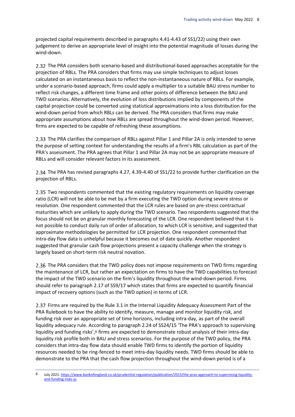projected capital requirements described in paragraphs 4.41-4.43 of SS1/22) using their own judgement to derive an appropriate level of insight into the potential magnitude of losses during the wind-down.

2.32 The PRA considers both scenario-based and distributional-based approaches acceptable for the projection of RBLs. The PRA considers that firms may use simple techniques to adjust losses calculated on an instantaneous basis to reflect the non-instantaneous nature of RBLs. For example, under a scenario-based approach, firms could apply a multiplier to a suitable BAU stress number to reflect risk changes, a different time frame and other points of difference between the BAU and TWD scenarios. Alternatively, the evolution of loss distributions implied by components of the capital projection could be converted using statistical approximations into a loss distribution for the wind-down period from which RBLs can be derived. The PRA considers that firms may make appropriate assumptions about how RBLs are spread throughout the wind-down period. However, firms are expected to be capable of refreshing these assumptions.

2.33 The PRA clarifies the comparison of RBLs against Pillar 1 and Pillar 2A is only intended to serve the purpose of setting context for understanding the results of a firm's RBL calculation as part of the PRA's assessment. The PRA agrees that Pillar 1 and Pillar 2A may not be an appropriate measure of RBLs and will consider relevant factors in its assessment.

2.34 The PRA has revised paragraphs 4.27, 4.39-4.40 of SS1/22 to provide further clarification on the projection of RBLs.

2.35 Two respondents commented that the existing regulatory requirements on liquidity coverage ratio (LCR) will not be able to be met by a firm executing the TWD option during severe stress or resolution. One respondent commented that the LCR rules are based on pre-stress contractual maturities which are unlikely to apply during the TWD scenario. Two respondents suggested that the focus should not be on granular monthly forecasting of the LCR. One respondent believed that it is not possible to conduct daily run of order of allocation, to which LCR is sensitive, and suggested that approximate methodologies be permitted for LCR projection. One respondent commented that intra-day flow data is unhelpful because it becomes out of date quickly. Another respondent suggested that granular cash flow projections present a capacity challenge when the strategy is largely based on short-term risk neutral novation.

2.36 The PRA considers that the TWD policy does not impose requirements on TWD firms regarding the maintenance of LCR, but rather an expectation on firms to have the TWD capabilities to forecast the impact of the TWD scenario on the firm's liquidity throughout the wind-down period. Firms should refer to paragraph 2.17 of SS9/17 which states that firms are expected to quantify financial impact of recovery options (such as the TWD option) in terms of LCR.

2.37 Firms are required by the Rule 3.1 in the Internal Liquidity Adequacy Assessment Part of the PRA Rulebook to have the ability to identify, measure, manage and monitor liquidity risk, and funding risk over an appropriate set of time horizons, including intra-day, as part of the overall liquidity adequacy rule. According to paragraph 2.24 of SS24/15 'The PRA's approach to supervising liquidity and funding risks',<sup>6</sup> firms are expected to demonstrate robust analysis of their intra-day liquidity risk profile both in BAU and stress scenarios. For the purpose of the TWD policy, the PRA considers that intra-day flow data should enable TWD firms to identify the portion of liquidity resources needed to be ring-fenced to meet intra-day liquidity needs. TWD firms should be able to demonstrate to the PRA that the cash flow projection throughout the wind-down period is of a

<sup>6</sup> July 2021: [https://www.bankofengland.co.uk/prudential-regulation/publication/2015/the-pras-approach-to-supervising-liquidity](https://www.bankofengland.co.uk/prudential-regulation/publication/2015/the-pras-approach-to-supervising-liquidity-and-funding-risks-ss)[and-funding-risks-ss.](https://www.bankofengland.co.uk/prudential-regulation/publication/2015/the-pras-approach-to-supervising-liquidity-and-funding-risks-ss)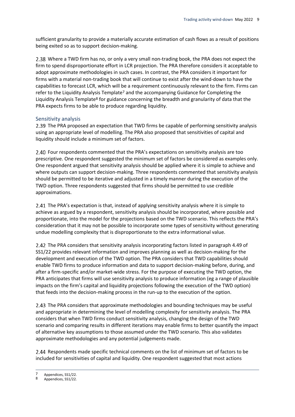sufficient granularity to provide a materially accurate estimation of cash flows as a result of positions being exited so as to support decision-making.

Where a TWD firm has no, or only a very small non-trading book, the PRA does not expect the firm to spend disproportionate effort in LCR projection. The PRA therefore considers it acceptable to adopt approximate methodologies in such cases. In contrast, the PRA considers it important for firms with a material non-trading book that will continue to exist after the wind-down to have the capabilities to forecast LCR, which will be a requirement continuously relevant to the firm. Firms can refer to the Liquidity Analysis Template7 and the accompanying Guidance for Completing the Liquidity Analysis Template8 for guidance concerning the breadth and granularity of data that the PRA expects firms to be able to produce regarding liquidity.

#### Sensitivity analysis

2.39 The PRA proposed an expectation that TWD firms be capable of performing sensitivity analysis using an appropriate level of modelling. The PRA also proposed that sensitivities of capital and liquidity should include a minimum set of factors.

2.40 Four respondents commented that the PRA's expectations on sensitivity analysis are too prescriptive. One respondent suggested the minimum set of factors be considered as examples only. One respondent argued that sensitivity analysis should be applied where it is simple to achieve and where outputs can support decision-making. Three respondents commented that sensitivity analysis should be permitted to be iterative and adjusted in a timely manner during the execution of the TWD option. Three respondents suggested that firms should be permitted to use credible approximations.

The PRA's expectation is that, instead of applying sensitivity analysis where it is simple to achieve as argued by a respondent, sensitivity analysis should be incorporated, where possible and proportionate, into the model for the projections based on the TWD scenario. This reflects the PRA's consideration that it may not be possible to incorporate some types of sensitivity without generating undue modelling complexity that is disproportionate to the extra informational value.

2.42 The PRA considers that sensitivity analysis incorporating factors listed in paragraph 4.49 of SS1/22 provides relevant information and improves planning as well as decision-making for the development and execution of the TWD option. The PRA considers that TWD capabilities should enable TWD firms to produce information and data to support decision-making before, during, and after a firm-specific and/or market-wide stress. For the purpose of executing the TWD option, the PRA anticipates that firms will use sensitivity analysis to produce information (eg a range of plausible impacts on the firm's capital and liquidity projections following the execution of the TWD option) that feeds into the decision-making process in the run-up to the execution of the option.

2.43 The PRA considers that approximate methodologies and bounding techniques may be useful and appropriate in determining the level of modelling complexity for sensitivity analysis. The PRA considers that when TWD firms conduct sensitivity analysis, changing the design of the TWD scenario and comparing results in different iterations may enable firms to better quantify the impact of alternative key assumptions to those assumed under the TWD scenario. This also validates approximate methodologies and any potential judgements made.

2.44 Respondents made specific technical comments on the list of minimum set of factors to be included for sensitivities of capital and liquidity. One respondent suggested that most actions

 $\frac{7}{8}$  Appendices, SS1/22.

Appendices, SS1/22.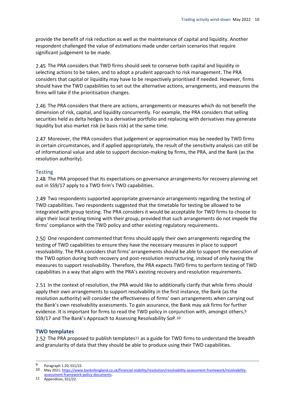provide the benefit of risk reduction as well as the maintenance of capital and liquidity. Another respondent challenged the value of estimations made under certain scenarios that require significant judgement to be made.

2.45 The PRA considers that TWD firms should seek to conserve both capital and liquidity in selecting actions to be taken, and to adopt a prudent approach to risk management. The PRA considers that capital or liquidity may have to be respectively prioritised if needed. However, firms should have the TWD capabilities to set out the alternative actions, arrangements, and measures the firms will take if the prioritisation changes.

2.46 The PRA considers that there are actions, arrangements or measures which do not benefit the dimension of risk, capital, and liquidity concurrently. For example, the PRA considers that selling securities held as delta hedges to a derivative portfolio and replacing with derivatives may generate liquidity but also market risk (ie basis risk) at the same time.

2.47 Moreover, the PRA considers that judgement or approximation may be needed by TWD firms in certain circumstances, and if applied appropriately, the result of the sensitivity analysis can still be of informational value and able to support decision-making by firms, the PRA, and the Bank (as the resolution authority).

#### **Testing**

2.48 The PRA proposed that its expectations on governance arrangements for recovery planning set out in SS9/17 apply to a TWD firm's TWD capabilities.

Two respondents supported appropriate governance arrangements regarding the testing of TWD capabilities. Two respondents suggested that the timetable for testing be allowed to be integrated with group testing. The PRA considers it would be acceptable for TWD firms to choose to align their local testing timing with their group, provided that such arrangements do not impede the firms' compliance with the TWD policy and other existing regulatory requirements.

2.50 One respondent commented that firms should apply their own arrangements regarding the testing of TWD capabilities to ensure they have the necessary measures in place to support resolvability. The PRA considers that firms' arrangements should be able to support the execution of the TWD option during both recovery and post-resolution restructuring, instead of only having the measures to support resolvability. Therefore, the PRA expects TWD firms to perform testing of TWD capabilities in a way that aligns with the PRA's existing recovery and resolution requirements.

2.51 In the context of resolution, the PRA would like to additionally clarify that while firms should apply their own arrangements to support resolvability in the first instance, the Bank (as the resolution authority) will consider the effectiveness of firms' own arrangements when carrying out the Bank's own resolvability assessments. To gain assurance, the Bank may ask firms for further evidence. It is important for firms to read the TWD policy in conjunction with, amongst others, 9 SS9/17 and The Bank's Approach to Assessing Resolvability SoP.10

#### **TWD templates**

2.52 The PRA proposed to publish templates<sup>11</sup> as a guide for TWD firms to understand the breadth and granularity of data that they should be able to produce using their TWD capabilities.

[assessment-framework-policy-documents.](https://www.bankofengland.co.uk/financial-stability/resolution/resolvability-assessment-framework/resolvability-assessment-framework-policy-documents)

<sup>9</sup> Paragraph 1.20, SS1/22.

<sup>10</sup> May 2021: [https://www.bankofengland.co.uk/financial-stability/resolution/resolvability-assessment-framework/resolvability-](https://www.bankofengland.co.uk/financial-stability/resolution/resolvability-assessment-framework/resolvability-assessment-framework-policy-documents)

<sup>11</sup> Appendices, SS1/22.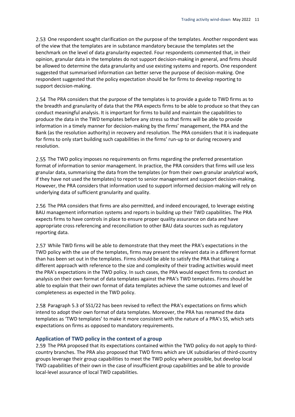2.53 One respondent sought clarification on the purpose of the templates. Another respondent was of the view that the templates are in substance mandatory because the templates set the benchmark on the level of data granularity expected. Four respondents commented that, in their opinion, granular data in the templates do not support decision-making in general, and firms should be allowed to determine the data granularity and use existing systems and reports. One respondent suggested that summarised information can better serve the purpose of decision-making. One respondent suggested that the policy expectation should be for firms to develop reporting to support decision-making.

2.54 The PRA considers that the purpose of the templates is to provide a guide to TWD firms as to the breadth and granularity of data that the PRA expects firms to be able to produce so that they can conduct meaningful analysis. It is important for firms to build and maintain the capabilities to produce the data in the TWD templates before any stress so that firms will be able to provide information in a timely manner for decision-making by the firms' management, the PRA and the Bank (as the resolution authority) in recovery and resolution. The PRA considers that it is inadequate for firms to only start building such capabilities in the firms' run-up to or during recovery and resolution.

2.55 The TWD policy imposes no requirements on firms regarding the preferred presentation format of information to senior management. In practice, the PRA considers that firms will use less granular data, summarising the data from the templates (or from their own granular analytical work, if they have not used the templates) to report to senior management and support decision-making. However, the PRA considers that information used to support informed decision-making will rely on underlying data of sufficient granularity and quality.

2.56 The PRA considers that firms are also permitted, and indeed encouraged, to leverage existing BAU management information systems and reports in building up their TWD capabilities. The PRA expects firms to have controls in place to ensure proper quality assurance on data and have appropriate cross referencing and reconciliation to other BAU data sources such as regulatory reporting data.

2.57 While TWD firms will be able to demonstrate that they meet the PRA's expectations in the TWD policy with the use of the templates, firms may present the relevant data in a different format than has been set out in the templates. Firms should be able to satisfy the PRA that taking a different approach with reference to the size and complexity of their trading activities would meet the PRA's expectations in the TWD policy. In such cases, the PRA would expect firms to conduct an analysis on their own format of data templates against the PRA's TWD templates. Firms should be able to explain that their own format of data templates achieve the same outcomes and level of completeness as expected in the TWD policy.

2.58 Paragraph 5.3 of SS1/22 has been revised to reflect the PRA's expectations on firms which intend to adopt their own format of data templates. Moreover, the PRA has renamed the data templates as 'TWD templates' to make it more consistent with the nature of a PRA's SS, which sets expectations on firms as opposed to mandatory requirements.

#### **Application of TWD policy in the context of a group**

2.59 The PRA proposed that its expectations contained within the TWD policy do not apply to thirdcountry branches. The PRA also proposed that TWD firms which are UK subsidiaries of third-country groups leverage their group capabilities to meet the TWD policy where possible, but develop local TWD capabilities of their own in the case of insufficient group capabilities and be able to provide local-level assurance of local TWD capabilities.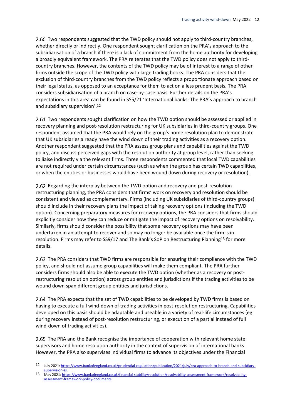2.60 Two respondents suggested that the TWD policy should not apply to third-country branches, whether directly or indirectly. One respondent sought clarification on the PRA's approach to the subsidiarisation of a branch if there is a lack of commitment from the home authority for developing a broadly equivalent framework. The PRA reiterates that the TWD policy does not apply to thirdcountry branches. However, the contents of the TWD policy may be of interest to a range of other firms outside the scope of the TWD policy with large trading books. The PRA considers that the exclusion of third-country branches from the TWD policy reflects a proportionate approach based on their legal status, as opposed to an acceptance for them to act on a less prudent basis. The PRA considers subsidiarisation of a branch on case-by-case basis. Further details on the PRA's expectations in this area can be found in [SS5/21 'International banks: The PRA's approach to branch](https://www.bankofengland.co.uk/-/media/boe/files/prudential-regulation/supervisory-statement/2021/ss521-july-2021.pdf?la=en&hash=D45354116A8BB3F7DC567815C61878203300A2B1)  [and subsidiary supervision'](https://www.bankofengland.co.uk/-/media/boe/files/prudential-regulation/supervisory-statement/2021/ss521-july-2021.pdf?la=en&hash=D45354116A8BB3F7DC567815C61878203300A2B1).12

2.61 Two respondents sought clarification on how the TWD option should be assessed or applied in recovery planning and post-resolution restructuring for UK subsidiaries in third-country groups. One respondent assumed that the PRA would rely on the group's home resolution plan to demonstrate that UK subsidiaries already have the wind down of their trading activities as a recovery option. Another respondent suggested that the PRA assess group plans and capabilities against the TWD policy, and discuss perceived gaps with the resolution authority at group level, rather than seeking to liaise indirectly via the relevant firms. Three respondents commented that local TWD capabilities are not required under certain circumstances (such as when the group has certain TWD capabilities, or when the entities or businesses would have been wound down during recovery or resolution).

2.62 Regarding the interplay between the TWD option and recovery and post-resolution restructuring planning, the PRA considers that firms' work on recovery and resolution should be consistent and viewed as complementary. Firms (including UK subsidiaries of third-country groups) should include in their recovery plans the impact of taking recovery options (including the TWD option). Concerning preparatory measures for recovery options, the PRA considers that firms should explicitly consider how they can reduce or mitigate the impact of recovery options on resolvability. Similarly, firms should consider the possibility that some recovery options may have been undertaken in an attempt to recover and so may no longer be available once the firm is in resolution. Firms may refer to SS9/17 and The Bank's SoP on Restructuring Planning13 for more details.

2.63 The PRA considers that TWD firms are responsible for ensuring their compliance with the TWD policy, and should not assume group capabilities will make them compliant. The PRA further considers firms should also be able to execute the TWD option (whether as a recovery or postrestructuring resolution option) across group entities and jurisdictions if the trading activities to be wound down span different group entities and jurisdictions.

2.64 The PRA expects that the set of TWD capabilities to be developed by TWD firms is based on having to execute a full wind-down of trading activities in post-resolution restructuring. Capabilities developed on this basis should be adaptable and useable in a variety of real-life circumstances (eg during recovery instead of post-resolution restructuring, or execution of a partial instead of full wind-down of trading activities).

2.65 The PRA and the Bank recognise the importance of cooperation with relevant home state supervisors and home resolution authority in the context of supervision of international banks. However, the PRA also supervises individual firms to advance its objectives under the Financial

<sup>12</sup> July 2021: [https://www.bankofengland.co.uk/prudential-regulation/publication/2021/july/pra-approach-to-branch-and-subsidiary](https://www.bankofengland.co.uk/prudential-regulation/publication/2021/july/pra-approach-to-branch-and-subsidiary-supervision-ss)[supervision-ss.](https://www.bankofengland.co.uk/prudential-regulation/publication/2021/july/pra-approach-to-branch-and-subsidiary-supervision-ss)

<sup>13</sup> May 2021: [https://www.bankofengland.co.uk/financial-stability/resolution/resolvability-assessment-framework/resolvability](https://www.bankofengland.co.uk/financial-stability/resolution/resolvability-assessment-framework/resolvability-assessment-framework-policy-documents)[assessment-framework-policy-documents.](https://www.bankofengland.co.uk/financial-stability/resolution/resolvability-assessment-framework/resolvability-assessment-framework-policy-documents)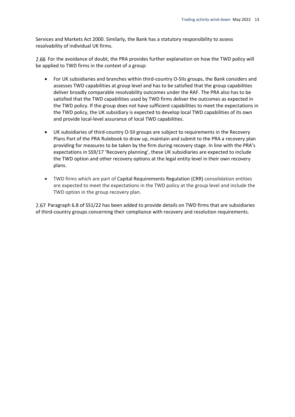Services and Markets Act 2000. Similarly, the Bank has a statutory responsibility to assess resolvability of individual UK firms.

2.66 For the avoidance of doubt, the PRA provides further explanation on how the TWD policy will be applied to TWD firms in the context of a group:

- For UK subsidiaries and branches within third-country O-SIIs groups, the Bank considers and assesses TWD capabilities at group level and has to be satisfied that the group capabilities deliver broadly comparable resolvability outcomes under the RAF. The PRA also has to be satisfied that the TWD capabilities used by TWD firms deliver the outcomes as expected in the TWD policy. If the group does not have sufficient capabilities to meet the expectations in the TWD policy, the UK subsidiary is expected to develop local TWD capabilities of its own and provide local-level assurance of local TWD capabilities.
- UK subsidiaries of third-country O-SII groups are subject to requirements in the Recovery Plans Part of the PRA Rulebook to draw up, maintain and submit to the PRA a recovery plan providing for measures to be taken by the firm during recovery stage. In line with the PRA's expectations in SS9/17 'Recovery planning', these UK subsidiaries are expected to include the TWD option and other recovery options at the legal entity level in their own recovery plans.
- TWD firms which are part of Capital Requirements Regulation (CRR) consolidation entities are expected to meet the expectations in the TWD policy at the group level and include the TWD option in the group recovery plan.

2.67 Paragraph 6.8 of SS1/22 has been added to provide details on TWD firms that are subsidiaries of third-country groups concerning their compliance with recovery and resolution requirements.